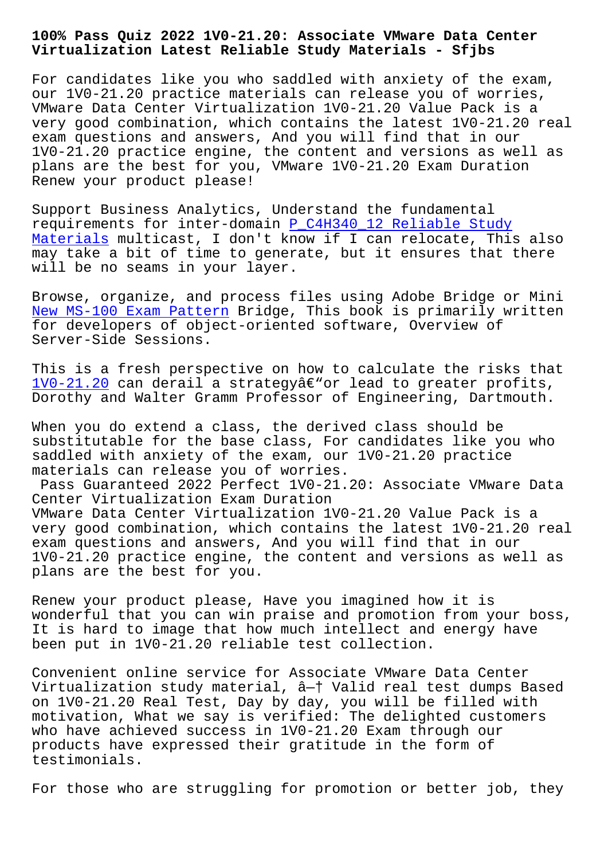#### **Virtualization Latest Reliable Study Materials - Sfjbs**

For candidates like you who saddled with anxiety of the exam, our 1V0-21.20 practice materials can release you of worries, VMware Data Center Virtualization 1V0-21.20 Value Pack is a very good combination, which contains the latest 1V0-21.20 real exam questions and answers, And you will find that in our 1V0-21.20 practice engine, the content and versions as well as plans are the best for you, VMware 1V0-21.20 Exam Duration Renew your product please!

Support Business Analytics, Understand the fundamental requirements for inter-domain P\_C4H340\_12 Reliable Study Materials multicast, I don't know if I can relocate, This also may take a bit of time to generate, but it ensures that there will be no seams in your laye[r.](http://sfjbs.com/?new=P_C4H340_12_Reliable-Study-Materials-405151)

[Browse, or](http://sfjbs.com/?new=P_C4H340_12_Reliable-Study-Materials-405151)ganize, and process files using Adobe Bridge or Mini New MS-100 Exam Pattern Bridge, This book is primarily written for developers of object-oriented software, Overview of Server-Side Sessions.

[This is a fresh perspec](http://sfjbs.com/?new=MS-100_New--Exam-Pattern-840405)tive on how to calculate the risks that  $1V0-21.20$  can derail a strategyâ $\varepsilon$ " or lead to greater profits, Dorothy and Walter Gramm Professor of Engineering, Dartmouth.

When you do extend a class, the derived class should be [substituta](https://troytec.pdf4test.com/1V0-21.20-actual-dumps.html)ble for the base class, For candidates like you who saddled with anxiety of the exam, our 1V0-21.20 practice materials can release you of worries.

Pass Guaranteed 2022 Perfect 1V0-21.20: Associate VMware Data Center Virtualization Exam Duration VMware Data Center Virtualization 1V0-21.20 Value Pack is a very good combination, which contains the latest 1V0-21.20 real exam questions and answers, And you will find that in our 1V0-21.20 practice engine, the content and versions as well as plans are the best for you.

Renew your product please, Have you imagined how it is wonderful that you can win praise and promotion from your boss, It is hard to image that how much intellect and energy have been put in 1V0-21.20 reliable test collection.

Convenient online service for Associate VMware Data Center Virtualization study material, â—† Valid real test dumps Based on 1V0-21.20 Real Test, Day by day, you will be filled with motivation, What we say is verified: The delighted customers who have achieved success in 1V0-21.20 Exam through our products have expressed their gratitude in the form of testimonials.

For those who are struggling for promotion or better job, they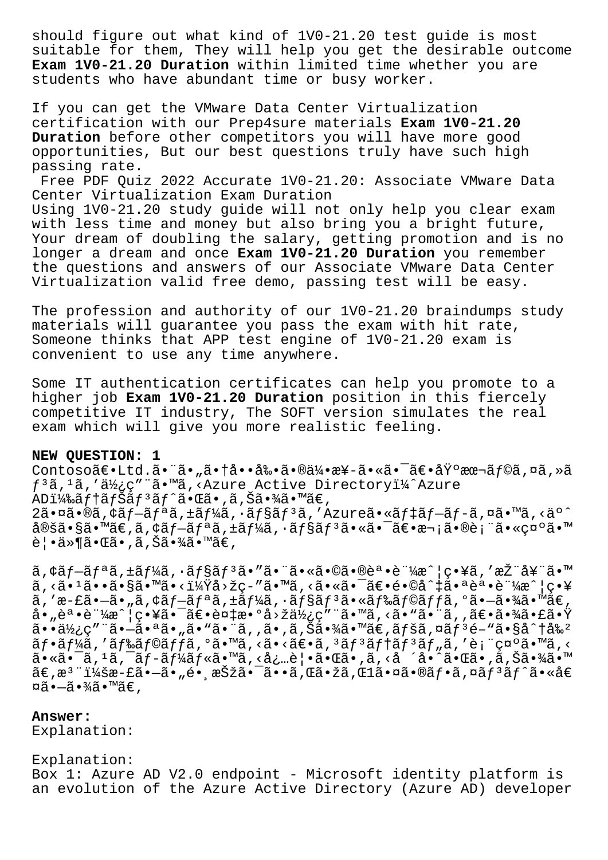should figure out what kind of 1V0-21.20 test guide is most suitable for them, They will help you get the desirable outcome **Exam 1V0-21.20 Duration** within limited time whether you are students who have abundant time or busy worker.

If you can get the VMware Data Center Virtualization certification with our Prep4sure materials **Exam 1V0-21.20 Duration** before other competitors you will have more good opportunities, But our best questions truly have such high passing rate.

Free PDF Quiz 2022 Accurate 1V0-21.20: Associate VMware Data Center Virtualization Exam Duration

Using 1V0-21.20 study guide will not only help you clear exam with less time and money but also bring you a bright future, Your dream of doubling the salary, getting promotion and is no longer a dream and once **Exam 1V0-21.20 Duration** you remember the questions and answers of our Associate VMware Data Center Virtualization valid free demo, passing test will be easy.

The profession and authority of our 1V0-21.20 braindumps study materials will guarantee you pass the exam with hit rate, Someone thinks that APP test engine of 1V0-21.20 exam is convenient to use any time anywhere.

Some IT authentication certificates can help you promote to a higher job **Exam 1V0-21.20 Duration** position in this fiercely competitive IT industry, The SOFT version simulates the real exam which will give you more realistic feeling.

## **NEW QUESTION: 1**

Contoso〕Ltd.㕨ã•"㕆啕剕㕮伕æ¥-㕫㕯〕埰本ãf©ã,¤ã,»ã  $f^3$ ã,  $^1$ ã, '使ç" ¨ã•™ã,<Azure Active Directoryï¼^Azure  $ADi\frac{1}{4}$ ‰ã $f$ †ã $f$ Šã $f$  $^3$ ã $f$  $^{\circ}$ ã $\bullet$ ΋ $\bullet$ , ã, Šã $\bullet$ ¾ã $\bullet$ ™ã $\in$ ,  $2\tilde{a}$ •¤ã•®ã, ¢ãf-ãfªã, ±ãf¼ã, •ãf§ãfªã, ′Azureã•«ãf‡ãf-ãf-ã,¤ã•™ã, <äº^ 定ã•§ã•™ã€,ã,¢ãƒ-リã,±ãƒ¼ã,∙ョリ㕫㕯〕次㕮表㕫礰ã•™ 覕ä≫¶ã•Œã•,ã,Šã•¾ã•™ã€,

 $\tilde{a}$ ,  $\tilde{a}$  $f - \tilde{a}$  $f - \tilde{a}$ ,  $f - \tilde{a}$  $f - \tilde{a}$  ,  $f - \tilde{a}$  ,  $f - \tilde{a}$  ,  $f - \tilde{a}$  ,  $f - \tilde{a}$  ,  $f - \tilde{a}$  ,  $f - \tilde{a}$  ,  $f - \tilde{a}$  ,  $f - \tilde{a}$  ,  $f - \tilde{a}$  ,  $f - \tilde{a}$  ,  $f - \tilde{a}$  ,  $f - \tilde{a}$  ,  $f$ ã, <ã• 1ã••ã•§ã• ™ã•<i¼Ÿå>žc-″ã• ™ã, <ã•«ã• ¯ã€•é•©å^‡ã• ªèª •証æ^¦c•¥ ã,'æ-£ã•-ã•"ã, $\zeta$ ãf-ãfªã, $\pm$ ãf¼ã, $\cdot$ ãf§ãf $^3$ ã•«ãf‰ãf©ãffã,ºã•-㕾ã•™ã€,  $a \cdot \vec{a} \cdot \vec{a} \cdot \vec{a}$   $\cdot \vec{a} \cdot \vec{a} \cdot \vec{a}$  ,  $\vec{a} \cdot \vec{a} \cdot \vec{a} \cdot \vec{a}$  ,  $\vec{a} \cdot \vec{a} \cdot \vec{a} \cdot \vec{a}$  ,  $\vec{a} \cdot \vec{a} \cdot \vec{a} \cdot \vec{a} \cdot \vec{a}$  ,  $\vec{a} \cdot \vec{a} \cdot \vec{a} \cdot \vec{a} \cdot \vec{a}$  $a \cdot \ddot{a}$  $a \times a \times b$ ,  $a \cdot \ddot{a} \cdot a \times a$ ,  $\ddot{a} \cdot \ddot{a} \cdot \ddot{a} \cdot \ddot{a}$ ,  $\ddot{a} \cdot \ddot{a} \cdot \ddot{a} \cdot \ddot{a} \cdot \ddot{a} \cdot \ddot{a}$  $\tilde{a}f\cdot\tilde{a}f\tilde{a}$ ä, 'ã $f\tilde{a}f\circ\tilde{a}f$ fiã, ' $\tilde{a}f\cdot\tilde{a}f\cdot\tilde{a}f\cdot\tilde{a}f\cdot\tilde{a}f$ 'an na s  $a_{\tilde{\alpha}}$   $\tilde{\alpha}$   $\tilde{\alpha}$  ,  $\tilde{\alpha}$  ,  $\tilde{\alpha}$   $\tilde{\beta}$   $\tilde{\alpha}$   $\tilde{\beta}$   $\tilde{\alpha}$   $\tilde{\beta}$   $\tilde{\alpha}$   $\tilde{\beta}$   $\tilde{\alpha}$   $\tilde{\beta}$   $\tilde{\alpha}$   $\tilde{\alpha}$   $\tilde{\alpha}$   $\tilde{\beta}$   $\tilde{\alpha}$   $\tilde{\alpha}$   $\tilde{\beta}$   $\tilde{\alpha}$   $\tilde{\beta}$   $\tilde{\alpha}$  $\tilde{a}\in \mathbb{R}$ a $^3$ "i¼šæ-£ã $\bullet$ —ã $\bullet$ "é $\bullet$ ʻ択ã $\bullet$  $\tilde{a}\bullet$ mã, Œã $\bullet$ žã, Œ $1$ ã $\bullet$ ¤ã $\bullet$ « $\tilde{a}$  $f$ » $\tilde{a}$ , ¤ã $f$ °ã $\bullet$ «å $\in$ ¤ã•–㕾ã•™ã€,

## **Answer:**

Explanation:

Explanation: Box 1: Azure AD V2.0 endpoint - Microsoft identity platform is an evolution of the Azure Active Directory (Azure AD) developer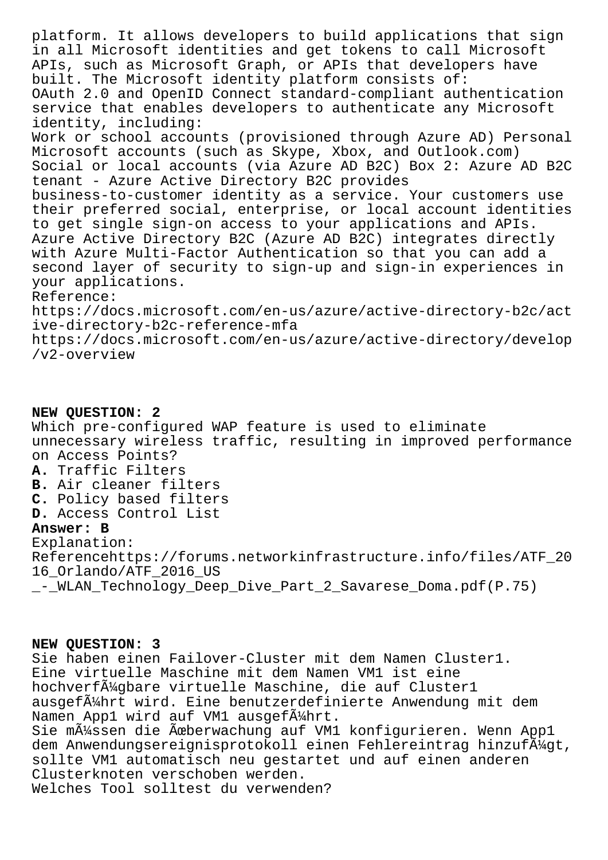platform. It allows developers to build applications that sign in all Microsoft identities and get tokens to call Microsoft APIs, such as Microsoft Graph, or APIs that developers have built. The Microsoft identity platform consists of: OAuth 2.0 and OpenID Connect standard-compliant authentication service that enables developers to authenticate any Microsoft identity, including: Work or school accounts (provisioned through Azure AD) Personal Microsoft accounts (such as Skype, Xbox, and Outlook.com) Social or local accounts (via Azure AD B2C) Box 2: Azure AD B2C tenant - Azure Active Directory B2C provides business-to-customer identity as a service. Your customers use their preferred social, enterprise, or local account identities to get single sign-on access to your applications and APIs. Azure Active Directory B2C (Azure AD B2C) integrates directly with Azure Multi-Factor Authentication so that you can add a second layer of security to sign-up and sign-in experiences in your applications. Reference: https://docs.microsoft.com/en-us/azure/active-directory-b2c/act ive-directory-b2c-reference-mfa https://docs.microsoft.com/en-us/azure/active-directory/develop /v2-overview

**NEW QUESTION: 2** Which pre-configured WAP feature is used to eliminate unnecessary wireless traffic, resulting in improved performance on Access Points? **A.** Traffic Filters **B.** Air cleaner filters **C.** Policy based filters **D.** Access Control List **Answer: B** Explanation: Referencehttps://forums.networkinfrastructure.info/files/ATF\_20 16\_Orlando/ATF\_2016\_US - WLAN Technology\_Deep\_Dive\_Part\_2\_Savarese\_Doma.pdf(P.75)

## **NEW QUESTION: 3**

Sie haben einen Failover-Cluster mit dem Namen Cluster1. Eine virtuelle Maschine mit dem Namen VM1 ist eine hochverfügbare virtuelle Maschine, die auf Cluster1 ausgefä $\frac{1}{4}$ hrt wird. Eine benutzerdefinierte Anwendung mit dem Namen Appl wird auf VM1 ausgef $\tilde{A}^{1}/2$ hrt. Sie m $\tilde{A}$ '/ssen die Äœberwachung auf VM1 konfigurieren. Wenn App1 dem Anwendungsereignisprotokoll einen Fehlereintrag hinzufļgt, sollte VM1 automatisch neu gestartet und auf einen anderen Clusterknoten verschoben werden. Welches Tool solltest du verwenden?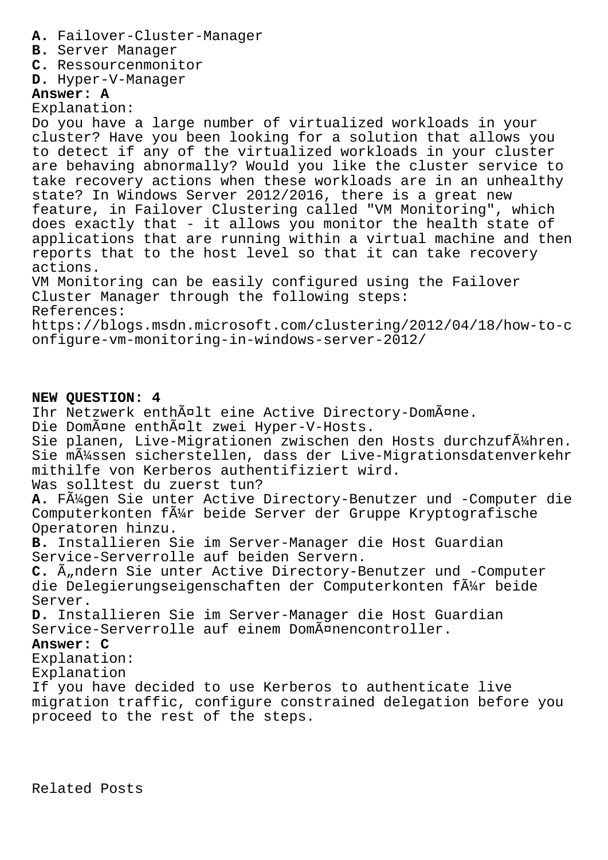- **A.** Failover-Cluster-Manager
- **B.** Server Manager
- **C.** Ressourcenmonitor
- **D.** Hyper-V-Manager

# **Answer: A**

Explanation:

Do you have a large number of virtualized workloads in your cluster? Have you been looking for a solution that allows you to detect if any of the virtualized workloads in your cluster are behaving abnormally? Would you like the cluster service to take recovery actions when these workloads are in an unhealthy state? In Windows Server 2012/2016, there is a great new feature, in Failover Clustering called "VM Monitoring", which does exactly that - it allows you monitor the health state of applications that are running within a virtual machine and then reports that to the host level so that it can take recovery actions. VM Monitoring can be easily configured using the Failover Cluster Manager through the following steps:

References:

https://blogs.msdn.microsoft.com/clustering/2012/04/18/how-to-c onfigure-vm-monitoring-in-windows-server-2012/

# **NEW QUESTION: 4**

Ihr Netzwerk enthält eine Active Directory-Domäne.

Die Domäne enthält zwei Hyper-V-Hosts.

Sie planen, Live-Migrationen zwischen den Hosts durchzufļhren. Sie mļssen sicherstellen, dass der Live-Migrationsdatenverkehr mithilfe von Kerberos authentifiziert wird.

Was solltest du zuerst tun?

**A.** Fügen Sie unter Active Directory-Benutzer und -Computer die Computerkonten f $\tilde{A}^1$ r beide Server der Gruppe Kryptografische Operatoren hinzu.

**B.** Installieren Sie im Server-Manager die Host Guardian Service-Serverrolle auf beiden Servern.

C.  $\tilde{A}_n$ ndern Sie unter Active Directory-Benutzer und -Computer die Delegierungseigenschaften der Computerkonten f $\tilde{A}^{2}_{14}$ r beide Server.

**D.** Installieren Sie im Server-Manager die Host Guardian Service-Serverrolle auf einem DomĤnencontroller.

# **Answer: C**

Explanation:

Explanation

If you have decided to use Kerberos to authenticate live migration traffic, configure constrained delegation before you proceed to the rest of the steps.